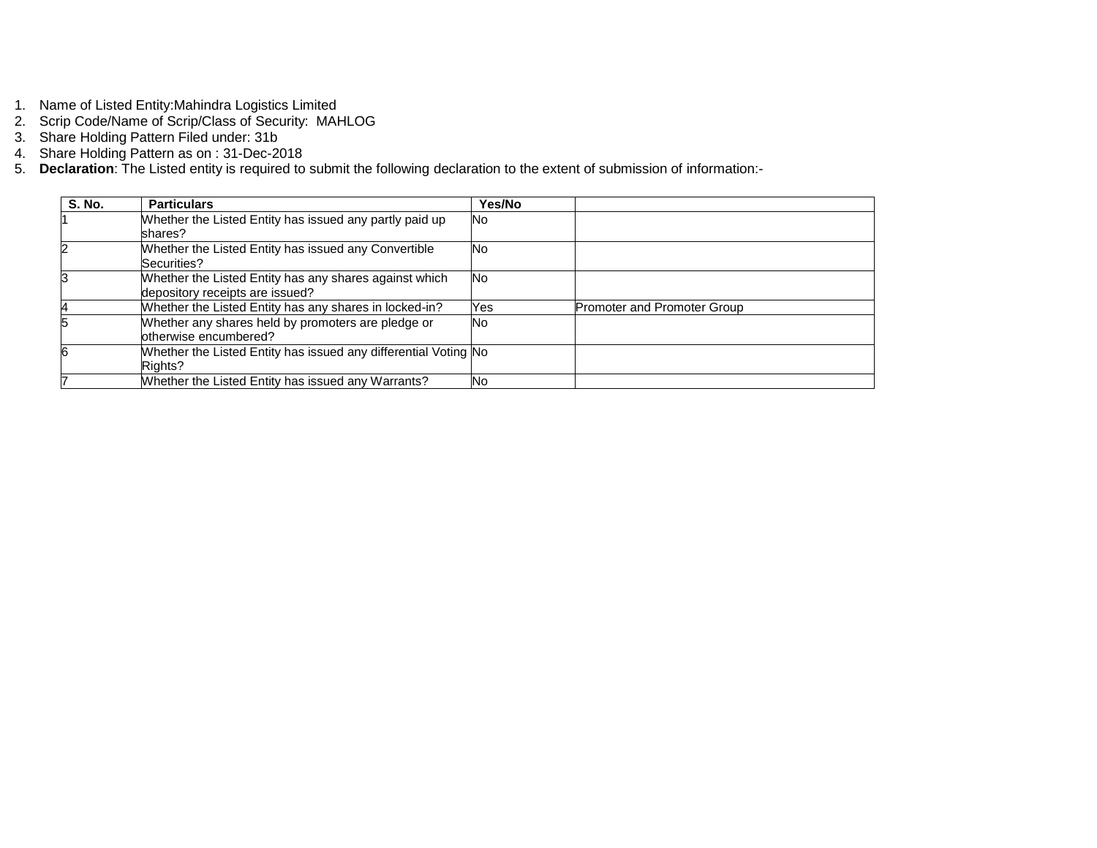- 1. Name of Listed Entity:Mahindra Logistics Limited
- 2. Scrip Code/Name of Scrip/Class of Security: MAHLOG
- 3. Share Holding Pattern Filed under: 31b
- 4. Share Holding Pattern as on : 31-Dec-2018
- 5. **Declaration**: The Listed entity is required to submit the following declaration to the extent of submission of information:-

| <b>S. No.</b> | <b>Particulars</b>                                              | Yes/No    |                             |
|---------------|-----------------------------------------------------------------|-----------|-----------------------------|
|               | Whether the Listed Entity has issued any partly paid up         | <b>No</b> |                             |
|               | shares?                                                         |           |                             |
|               | Whether the Listed Entity has issued any Convertible            | <b>No</b> |                             |
|               | Securities?                                                     |           |                             |
|               | Whether the Listed Entity has any shares against which          | <b>No</b> |                             |
|               | depository receipts are issued?                                 |           |                             |
|               | Whether the Listed Entity has any shares in locked-in?          | Yes       | Promoter and Promoter Group |
|               | Whether any shares held by promoters are pledge or              | <b>No</b> |                             |
|               | otherwise encumbered?                                           |           |                             |
|               | Whether the Listed Entity has issued any differential Voting No |           |                             |
|               | Rights?                                                         |           |                             |
|               | Whether the Listed Entity has issued any Warrants?              | <b>No</b> |                             |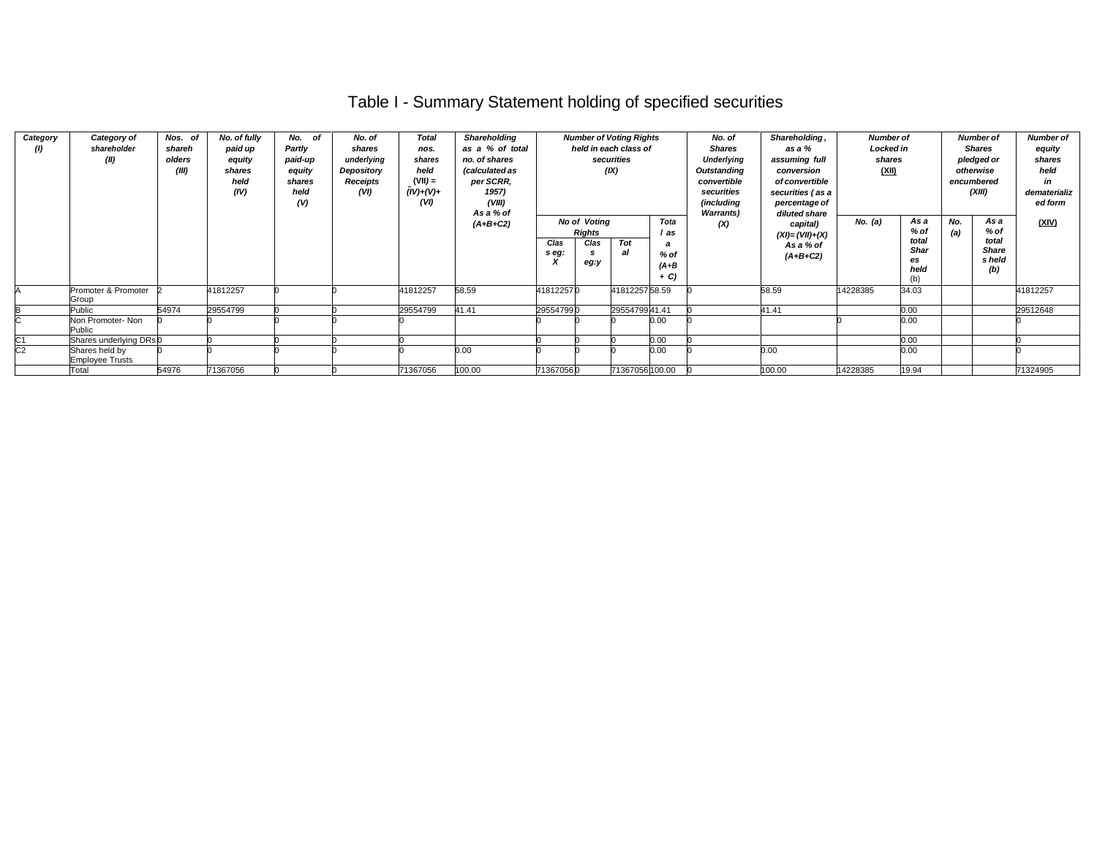# Table I - Summary Statement holding of specified securities

| Category<br>(1) | Category of<br>shareholder<br>(II)       | Nos. of<br>shareh<br>olders<br>(III) | No. of fully<br>paid up<br>equity<br>shares<br>held<br>(IV) | No.<br>of<br>Partly<br>paid-up<br>equity<br>shares<br>held<br>(V) | No. of<br>shares<br>underlying<br>Depository<br>Receipts<br>(VI) | <b>Total</b><br>nos.<br>shares<br>held<br>$(VII) =$<br>$(IV)+(V)+$<br>(VI) | Shareholding<br>as a % of total<br>no. of shares<br>(calculated as<br>per SCRR,<br>1957)<br>(VIII)<br>As a % of |               |                               | <b>Number of Voting Rights</b><br>held in each class of<br>securities<br>(IX) |                            | No. of<br><b>Shares</b><br>Underlying<br>Outstanding<br>convertible<br>securities<br>(including<br><b>Warrants</b> ) | Shareholding,<br>as a %<br>assuming full<br>conversion<br>of convertible<br>securities (as a<br>percentage of<br>diluted share | <b>Number of</b><br><b>Locked in</b><br>shares<br>(XII) |                                    |            | <b>Number of</b><br><b>Shares</b><br>pledged or<br>otherwise<br>encumbered<br>(XIII) | <b>Number of</b><br>equity<br>shares<br>held<br>in<br>dematerializ<br>ed form |
|-----------------|------------------------------------------|--------------------------------------|-------------------------------------------------------------|-------------------------------------------------------------------|------------------------------------------------------------------|----------------------------------------------------------------------------|-----------------------------------------------------------------------------------------------------------------|---------------|-------------------------------|-------------------------------------------------------------------------------|----------------------------|----------------------------------------------------------------------------------------------------------------------|--------------------------------------------------------------------------------------------------------------------------------|---------------------------------------------------------|------------------------------------|------------|--------------------------------------------------------------------------------------|-------------------------------------------------------------------------------|
|                 |                                          |                                      |                                                             |                                                                   |                                                                  |                                                                            | $(A+B+C2)$                                                                                                      |               | No of Voting<br><b>Rights</b> |                                                                               | Tota<br>l as               | (X)                                                                                                                  | capital)<br>$(XI) = (VII)+(X)$                                                                                                 | No. $(a)$                                               | As a<br>$%$ of                     | No.<br>(a) | As a<br>% of                                                                         | (XIV)                                                                         |
|                 |                                          |                                      |                                                             |                                                                   |                                                                  |                                                                            |                                                                                                                 | Clas<br>s eg: | Clas<br>eg:y                  | Tot<br>al                                                                     | $%$ of<br>$(A+B)$<br>$+ C$ |                                                                                                                      | As a % of<br>$(A+B+C2)$                                                                                                        |                                                         | total<br><b>Shar</b><br>es<br>held |            | total<br>Share<br>s held<br>(b)                                                      |                                                                               |
|                 | Promoter & Promoter<br>Group             |                                      | 41812257                                                    |                                                                   |                                                                  | 41812257                                                                   | 58.59                                                                                                           | 418122570     |                               | 4181225758.59                                                                 |                            |                                                                                                                      | 58.59                                                                                                                          | 14228385                                                | 34.03                              |            |                                                                                      | 41812257                                                                      |
|                 | Public                                   | 54974                                | 29554799                                                    |                                                                   |                                                                  | 29554799                                                                   | 41.41                                                                                                           | 295547990     |                               | 2955479941.41                                                                 |                            |                                                                                                                      | 41.41                                                                                                                          |                                                         | 0.00                               |            |                                                                                      | 29512648                                                                      |
|                 | Non Promoter- Non<br>Public              |                                      |                                                             |                                                                   |                                                                  |                                                                            |                                                                                                                 |               |                               |                                                                               | 0.00                       |                                                                                                                      |                                                                                                                                |                                                         | 0.00                               |            |                                                                                      |                                                                               |
| C1              | Shares underlying DRs 0                  |                                      |                                                             |                                                                   |                                                                  |                                                                            |                                                                                                                 |               |                               |                                                                               | 0.00                       |                                                                                                                      |                                                                                                                                |                                                         | 0.00                               |            |                                                                                      |                                                                               |
| C2              | Shares held by<br><b>Employee Trusts</b> |                                      |                                                             |                                                                   |                                                                  |                                                                            | 0.00                                                                                                            |               |                               |                                                                               | 0.00                       |                                                                                                                      | 0.00                                                                                                                           |                                                         | 0.00                               |            |                                                                                      |                                                                               |
|                 | Total                                    | 54976                                | 71367056                                                    |                                                                   |                                                                  | 71367056                                                                   | 100.00                                                                                                          | 713670560     |                               | 71367056 100.00                                                               |                            |                                                                                                                      | 100.00                                                                                                                         | 14228385                                                | 19.94                              |            |                                                                                      | 71324905                                                                      |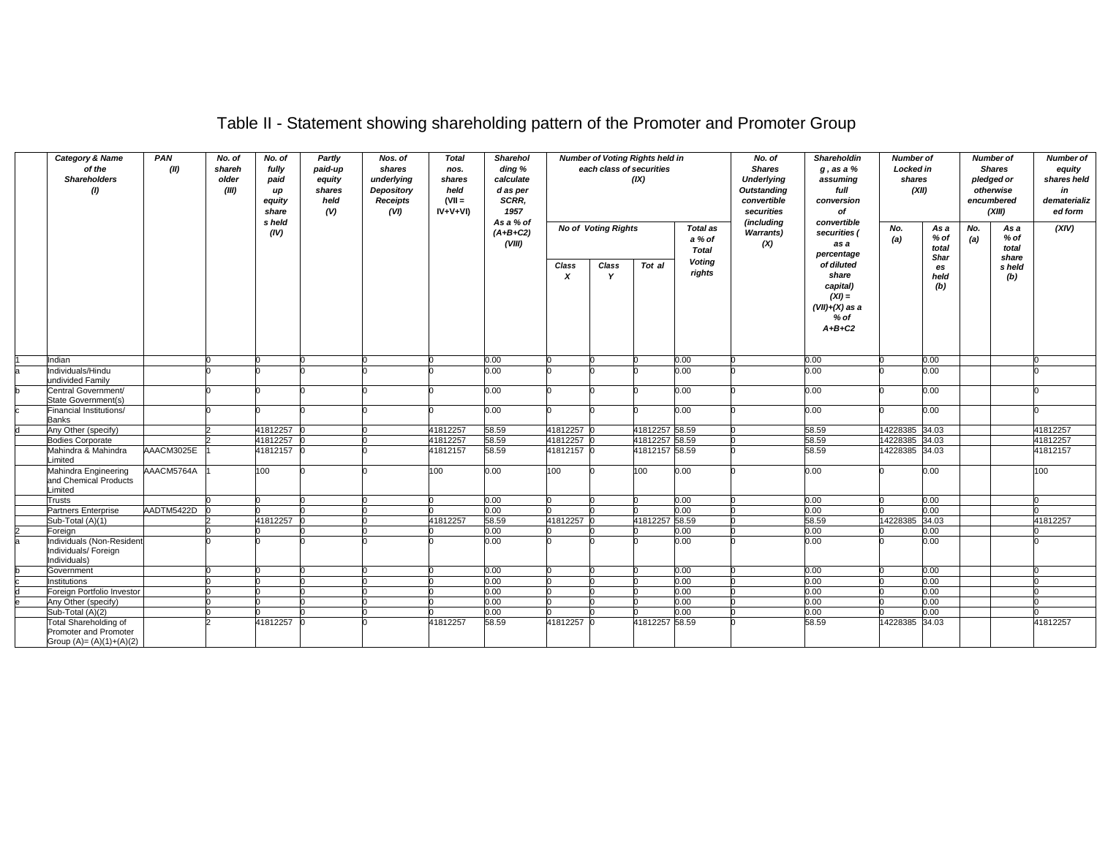| <b>Category &amp; Name</b><br>of the<br><b>Shareholders</b><br>(1) |                                                                             | PAN<br>(II) | No. of<br>shareh<br>older<br>(III) | No. of<br>fully<br>paid<br>up<br>equity<br>share<br>s held | Partly<br>paid-up<br>equity<br>shares<br>held<br>(V) | Nos. of<br>shares<br>underlying<br>Depository<br><b>Receipts</b><br>(VI) | <b>Total</b><br>nos.<br>shares<br>held<br>$(VII =$<br>IV+V+VI) | Sharehol<br>ding %<br>calculate<br>d as per<br>SCRR,<br>1957<br>As a % of |                        | each class of securities<br><b>No of Voting Rights</b> | <b>Number of Voting Rights held in</b><br>(IX) | <b>Total as</b>         | No. of<br><b>Shares</b><br><b>Underlying</b><br><b>Outstanding</b><br>convertible<br>securities<br>(including | Shareholdin<br>$g$ , as a $%$<br>assuming<br>full<br>conversion<br>of<br>convertible  | <b>Number of</b><br><b>Locked in</b><br>shares<br>No. | (XII)<br>As a     | No.                    | <b>Number of</b><br><b>Shares</b><br>pledged or<br>otherwise<br>encumbered<br>(XIII)<br>As a | <b>Number of</b><br>equity<br>shares held<br>in<br>dematerializ<br>ed form<br>(XIV) |
|--------------------------------------------------------------------|-----------------------------------------------------------------------------|-------------|------------------------------------|------------------------------------------------------------|------------------------------------------------------|--------------------------------------------------------------------------|----------------------------------------------------------------|---------------------------------------------------------------------------|------------------------|--------------------------------------------------------|------------------------------------------------|-------------------------|---------------------------------------------------------------------------------------------------------------|---------------------------------------------------------------------------------------|-------------------------------------------------------|-------------------|------------------------|----------------------------------------------------------------------------------------------|-------------------------------------------------------------------------------------|
|                                                                    |                                                                             |             |                                    | (IV)                                                       |                                                      |                                                                          |                                                                | $(A+B+C2)$<br>(VIII)                                                      | a % of<br><b>Total</b> |                                                        |                                                | <b>Warrants)</b><br>(X) | securities (<br>as a<br>percentage                                                                            | (a)                                                                                   | % of<br>total<br>Shar                                 | (a)               | % of<br>total<br>share |                                                                                              |                                                                                     |
|                                                                    |                                                                             |             |                                    |                                                            |                                                      |                                                                          |                                                                |                                                                           | Class<br>x             | Class<br>Y                                             | Tot al                                         | <b>Voting</b><br>rights |                                                                                                               | of diluted<br>share<br>capital)<br>$(XI) =$<br>$(VII)+(X)$ as a<br>$%$ of<br>$A+B+C2$ |                                                       | es<br>held<br>(b) |                        | s held<br>(b)                                                                                |                                                                                     |
|                                                                    | Indian                                                                      |             |                                    |                                                            |                                                      |                                                                          |                                                                | 0.00                                                                      |                        |                                                        |                                                | 0.00                    |                                                                                                               | 0.00                                                                                  |                                                       | 0.00              |                        |                                                                                              |                                                                                     |
|                                                                    | Individuals/Hindu                                                           |             |                                    |                                                            |                                                      |                                                                          |                                                                | 0.00                                                                      |                        |                                                        |                                                | $0.00\,$                |                                                                                                               | $0.00\,$                                                                              |                                                       | 0.00              |                        |                                                                                              |                                                                                     |
|                                                                    | undivided Family                                                            |             |                                    |                                                            |                                                      |                                                                          |                                                                |                                                                           |                        |                                                        |                                                |                         |                                                                                                               |                                                                                       |                                                       |                   |                        |                                                                                              |                                                                                     |
|                                                                    | Central Government/<br>State Government(s)                                  |             |                                    |                                                            |                                                      |                                                                          |                                                                | 0.00                                                                      |                        |                                                        |                                                | 0.00                    |                                                                                                               | 0.00                                                                                  |                                                       | 0.00              |                        |                                                                                              |                                                                                     |
|                                                                    | Financial Institutions/<br>Banks                                            |             |                                    |                                                            |                                                      |                                                                          |                                                                | 0.00                                                                      |                        |                                                        |                                                | 0.00                    |                                                                                                               | 0.00                                                                                  |                                                       | 0.00              |                        |                                                                                              |                                                                                     |
|                                                                    | Any Other (specify)                                                         |             |                                    | 41812257                                                   |                                                      |                                                                          | 41812257                                                       | 58.59                                                                     | 41812257               |                                                        | 41812257 58.59                                 |                         |                                                                                                               | 58.59                                                                                 | 14228385 34.03                                        |                   |                        |                                                                                              | 41812257                                                                            |
|                                                                    | <b>Bodies Corporate</b>                                                     |             |                                    | 41812257                                                   |                                                      |                                                                          | 41812257                                                       | 58.59                                                                     | 41812257               |                                                        | 41812257 58.59                                 |                         |                                                                                                               | 58.59                                                                                 | 4228385                                               | 34.03             |                        |                                                                                              | 41812257                                                                            |
|                                                                    | Mahindra & Mahindra<br>Limited                                              | AAACM3025E  |                                    | 41812157 0                                                 |                                                      |                                                                          | 41812157                                                       | 58.59                                                                     | 41812157 0             |                                                        | 41812157 58.59                                 |                         |                                                                                                               | 58.59                                                                                 | 14228385 34.03                                        |                   |                        |                                                                                              | 41812157                                                                            |
|                                                                    | Mahindra Engineering<br>and Chemical Products<br>Limited                    | AAACM5764A  |                                    | 100                                                        |                                                      |                                                                          | 100                                                            | 0.00                                                                      | 100                    |                                                        | 100                                            | 0.00                    |                                                                                                               | 0.00                                                                                  |                                                       | 0.00              |                        |                                                                                              | 100                                                                                 |
|                                                                    | <b>Trusts</b>                                                               |             |                                    |                                                            |                                                      |                                                                          |                                                                | 0.00                                                                      |                        |                                                        |                                                | 0.00                    |                                                                                                               | 0.00                                                                                  |                                                       | 0.00              |                        |                                                                                              |                                                                                     |
|                                                                    | Partners Enterprise                                                         | AADTM5422D  |                                    |                                                            |                                                      |                                                                          |                                                                | $0.00\,$                                                                  |                        |                                                        |                                                | 0.00                    |                                                                                                               | 0.00                                                                                  |                                                       | 0.00              |                        |                                                                                              |                                                                                     |
|                                                                    | Sub-Total (A)(1)                                                            |             |                                    | 41812257                                                   |                                                      |                                                                          | 41812257                                                       | 58.59                                                                     | 41812257               |                                                        | 41812257 58.59                                 |                         |                                                                                                               | 58.59                                                                                 | 14228385 34.03                                        |                   |                        |                                                                                              | 41812257                                                                            |
|                                                                    | Foreign                                                                     |             |                                    |                                                            |                                                      |                                                                          |                                                                | $0.00\,$                                                                  |                        |                                                        |                                                | 0.00                    |                                                                                                               | 0.00                                                                                  |                                                       | 0.00              |                        |                                                                                              |                                                                                     |
|                                                                    | Individuals (Non-Resident<br>Individuals/ Foreign<br>Individuals)           |             |                                    |                                                            |                                                      |                                                                          |                                                                | 0.00                                                                      |                        |                                                        |                                                | 0.00                    |                                                                                                               | 0.00                                                                                  |                                                       | 0.00              |                        |                                                                                              |                                                                                     |
|                                                                    | Government                                                                  |             |                                    |                                                            |                                                      |                                                                          |                                                                | $0.00\,$                                                                  |                        |                                                        |                                                | 0.00                    |                                                                                                               | 0.00                                                                                  |                                                       | 0.00              |                        |                                                                                              |                                                                                     |
|                                                                    | Institutions                                                                |             |                                    |                                                            |                                                      |                                                                          |                                                                | 0.00                                                                      |                        |                                                        |                                                | 0.00                    |                                                                                                               | 0.00                                                                                  |                                                       | 0.00              |                        |                                                                                              |                                                                                     |
|                                                                    | Foreign Portfolio Investor                                                  |             |                                    |                                                            |                                                      |                                                                          |                                                                | $0.00\,$                                                                  |                        |                                                        |                                                | 0.00                    |                                                                                                               | 0.00                                                                                  |                                                       | 0.00              |                        |                                                                                              |                                                                                     |
|                                                                    | Any Other (specify)                                                         |             |                                    |                                                            |                                                      |                                                                          |                                                                | 0.00                                                                      |                        |                                                        |                                                | 0.00                    |                                                                                                               | 0.00                                                                                  |                                                       | 0.00              |                        |                                                                                              |                                                                                     |
|                                                                    | Sub-Total (A)(2)                                                            |             |                                    |                                                            |                                                      |                                                                          |                                                                | 0.00                                                                      |                        |                                                        |                                                | 0.00                    |                                                                                                               | 0.00                                                                                  |                                                       | 0.00              |                        |                                                                                              |                                                                                     |
|                                                                    | Total Shareholding of<br>Promoter and Promoter<br>Group $(A)=(A)(1)+(A)(2)$ |             |                                    | 41812257                                                   |                                                      |                                                                          | 41812257                                                       | 58.59                                                                     | 41812257               |                                                        | 41812257 58.59                                 |                         |                                                                                                               | 58.59                                                                                 | 4228385 34.03                                         |                   |                        |                                                                                              | 41812257                                                                            |

## Table II - Statement showing shareholding pattern of the Promoter and Promoter Group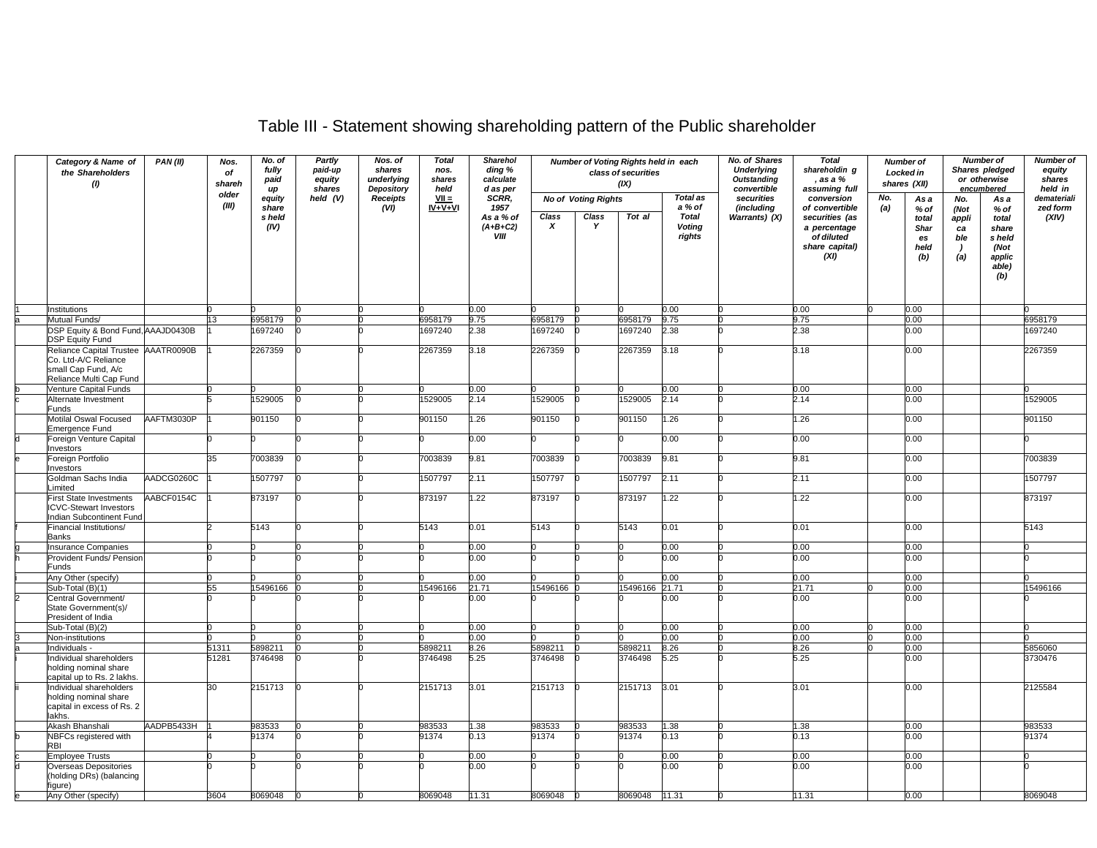## Table III - Statement showing shareholding pattern of the Public shareholder

| Category & Name of<br>the Shareholders<br>(1) |                                                                                                               | PAN(II)    | Nos.<br>of<br>shareh<br>older | No. of<br>fully<br>paid<br>up | Partly<br>paid-up<br>equity<br>shares | Nos. of<br>shares<br>underlying<br>Depository | <b>Total</b><br>nos.<br>shares<br>held | <b>Sharehol</b><br>ding %<br>calculate<br>d as per |                           | Number of Voting Rights held in each | class of securities<br>(IX) |                                         | No. of Shares<br><b>Underlying</b><br>Outstanding<br>convertible | <b>Total</b><br>shareholdin g<br>, as a %<br>assuming full                               | <b>Number of</b><br>Locked in<br>shares (XII) |                                            | or otherwise<br>encumbered                          | <b>Number of</b><br>Shares pledged                                 | <b>Number of</b><br>equity<br>shares<br>held in |
|-----------------------------------------------|---------------------------------------------------------------------------------------------------------------|------------|-------------------------------|-------------------------------|---------------------------------------|-----------------------------------------------|----------------------------------------|----------------------------------------------------|---------------------------|--------------------------------------|-----------------------------|-----------------------------------------|------------------------------------------------------------------|------------------------------------------------------------------------------------------|-----------------------------------------------|--------------------------------------------|-----------------------------------------------------|--------------------------------------------------------------------|-------------------------------------------------|
|                                               |                                                                                                               |            | (III)                         | equity                        | held (V)                              | <b>Receipts</b>                               | $VII =$<br>$IV + V + VI$               | SCRR.<br>1957                                      |                           | <b>No of Voting Rights</b>           |                             | <b>Total as</b><br>a % of               | securities                                                       | conversion                                                                               | No.                                           | As a                                       | No.                                                 | As a                                                               | demateriali                                     |
|                                               |                                                                                                               |            |                               | share<br>s held<br>(IV)       |                                       | (VI)                                          |                                        | As a % of<br>$(A+B+C2)$<br>VIII                    | Class<br>$\boldsymbol{x}$ | Class<br>Y                           | Tot al                      | <b>Total</b><br><b>Voting</b><br>rights | (including<br>Warrants) (X)                                      | of convertible<br>securities (as<br>a percentage<br>of diluted<br>share capital)<br>(XI) | (a)                                           | % of<br>total<br>Shar<br>es<br>held<br>(b) | (Not<br>appli<br>ca<br>ble<br>$\overline{ }$<br>(a) | % of<br>total<br>share<br>s held<br>(Not<br>applic<br>able)<br>(b) | zed form<br>(XIV)                               |
|                                               |                                                                                                               |            |                               |                               |                                       |                                               |                                        |                                                    |                           |                                      |                             |                                         |                                                                  |                                                                                          |                                               |                                            |                                                     |                                                                    |                                                 |
|                                               | Institutions                                                                                                  |            |                               |                               |                                       |                                               |                                        | 0.00                                               |                           |                                      |                             | 0.00                                    |                                                                  | 0.00                                                                                     |                                               | 0.00                                       |                                                     |                                                                    |                                                 |
|                                               | Mutual Funds/                                                                                                 |            | 13.                           | 6958179                       |                                       |                                               | 6958179                                | 9.75                                               | 6958179                   |                                      | 6958179                     | 9.75                                    |                                                                  | 9.75                                                                                     |                                               | 0.00                                       |                                                     |                                                                    | 6958179                                         |
|                                               | OSP Equity & Bond Fund, AAAJD0430B<br><b>DSP Equity Fund</b>                                                  |            |                               | 697240                        |                                       |                                               | 1697240                                | 2.38                                               | 1697240                   |                                      | 697240                      | 2.38                                    |                                                                  | 2.38                                                                                     |                                               | 0.00                                       |                                                     |                                                                    | 1697240                                         |
|                                               | Reliance Capital Trustee AAATR0090B<br>Co. Ltd-A/C Reliance<br>small Cap Fund, A/c<br>Reliance Multi Cap Fund |            |                               | 2267359                       |                                       |                                               | 2267359                                | 3.18                                               | 2267359                   |                                      | 2267359                     | 3.18                                    |                                                                  | 3.18                                                                                     |                                               | 0.00                                       |                                                     |                                                                    | 2267359                                         |
|                                               | Venture Capital Funds                                                                                         |            |                               |                               |                                       |                                               |                                        | 0.00                                               |                           |                                      |                             | 0.00                                    |                                                                  | 0.00                                                                                     |                                               | 0.00                                       |                                                     |                                                                    |                                                 |
|                                               | Alternate Investment<br>Funds                                                                                 |            |                               | 529005                        |                                       |                                               | 1529005                                | 2.14                                               | 1529005                   |                                      | 529005                      | 2.14                                    |                                                                  | 2.14                                                                                     |                                               | 0.00                                       |                                                     |                                                                    | 1529005                                         |
|                                               | <b>Motilal Oswal Focused</b><br>mergence Fund                                                                 | AAFTM3030P |                               | 901150                        |                                       |                                               | 901150                                 | 1.26                                               | 901150                    |                                      | 901150                      | 1.26                                    |                                                                  | .26                                                                                      |                                               | 0.00                                       |                                                     |                                                                    | 901150                                          |
|                                               | Foreign Venture Capital<br><b>nvestors</b>                                                                    |            |                               |                               |                                       |                                               |                                        | 0.00                                               |                           |                                      |                             | 0.00                                    |                                                                  | 0.00                                                                                     |                                               | 0.00                                       |                                                     |                                                                    |                                                 |
|                                               | oreign Portfolio                                                                                              |            |                               | 7003839                       |                                       |                                               | 7003839                                | 9.81                                               | 7003839                   |                                      | 003839                      | 9.81                                    |                                                                  | 9.81                                                                                     |                                               | 0.00                                       |                                                     |                                                                    | 7003839                                         |
|                                               | <b>nvestors</b><br>Goldman Sachs India                                                                        | AADCG0260C |                               | 1507797                       |                                       |                                               | 1507797                                | 2.11                                               | 1507797                   |                                      | 507797                      | 2.11                                    |                                                                  | 2.11                                                                                     |                                               | 0.00                                       |                                                     |                                                                    | 1507797                                         |
|                                               | .imited<br>First State Investments<br><b>CVC-Stewart Investors</b><br>ndian Subcontinent Fund                 | AABCF0154C |                               | 873197                        |                                       |                                               | 873197                                 | 1.22                                               | 873197                    |                                      | 873197                      | 1.22                                    |                                                                  | .22                                                                                      |                                               | 0.00                                       |                                                     |                                                                    | 873197                                          |
|                                               | inancial Institutions/                                                                                        |            |                               | 5143                          |                                       |                                               | 5143                                   | 0.01                                               | 5143                      |                                      | 5143                        | 0.01                                    |                                                                  | 0.01                                                                                     |                                               | 0.00                                       |                                                     |                                                                    | 5143                                            |
|                                               | Banks<br>Insurance Companies                                                                                  |            |                               |                               |                                       |                                               |                                        | 0.00                                               |                           |                                      |                             | 0.00                                    |                                                                  | 0.00                                                                                     |                                               | 0.00                                       |                                                     |                                                                    |                                                 |
|                                               | Provident Funds/ Pension                                                                                      |            |                               |                               |                                       |                                               |                                        | 0.00                                               |                           |                                      |                             | 0.00                                    |                                                                  | 0.00                                                                                     |                                               | 0.00                                       |                                                     |                                                                    |                                                 |
|                                               | Funds                                                                                                         |            |                               |                               |                                       |                                               |                                        |                                                    |                           |                                      |                             |                                         |                                                                  |                                                                                          |                                               |                                            |                                                     |                                                                    |                                                 |
|                                               | Any Other (specify)<br>Sub-Total (B)(1)                                                                       |            | 55                            | 5496166 C                     |                                       |                                               | 15496166                               | 0.00<br>21.71                                      | 5496166                   |                                      | 5496166 21.71               | 0.00                                    |                                                                  | 0.00<br>21.71                                                                            |                                               | 0.00<br>0.00                               |                                                     |                                                                    | 15496166                                        |
|                                               | Central Government/<br>State Government(s)/<br>President of India                                             |            |                               |                               |                                       |                                               |                                        | 0.00                                               |                           |                                      |                             | 0.00                                    |                                                                  | 0.00                                                                                     |                                               | 0.00                                       |                                                     |                                                                    |                                                 |
|                                               | Sub-Total (B)(2)                                                                                              |            |                               |                               |                                       |                                               |                                        | 0.00                                               |                           |                                      |                             | 0.00                                    |                                                                  | 0.00                                                                                     |                                               | 0.00                                       |                                                     |                                                                    |                                                 |
|                                               | Non-institutions                                                                                              |            |                               |                               |                                       |                                               |                                        | 0.00                                               |                           |                                      |                             | 0.00                                    |                                                                  | 0.00                                                                                     |                                               | 0.00                                       |                                                     |                                                                    |                                                 |
|                                               | ndividuals -                                                                                                  |            | 51311                         | 5898211                       |                                       |                                               | 5898211                                | 8.26                                               | 5898211                   |                                      | 5898211                     | 8.26                                    |                                                                  | 8.26                                                                                     |                                               | 0.00                                       |                                                     |                                                                    | 5856060                                         |
|                                               | Individual shareholders<br>holding nominal share<br>capital up to Rs. 2 lakhs.                                |            | 51281                         | 3746498                       |                                       |                                               | 3746498                                | 5.25                                               | 3746498                   |                                      | 3746498                     | 5.25                                    |                                                                  | 5.25                                                                                     |                                               | 0.00                                       |                                                     |                                                                    | 3730476                                         |
|                                               | ndividual shareholders<br>holding nominal share<br>capital in excess of Rs. 2<br>akhs.                        |            | 30                            | 2151713                       |                                       |                                               | 2151713                                | 3.01                                               | 2151713                   |                                      | 2151713                     | 3.01                                    |                                                                  | 3.01                                                                                     |                                               | 0.00                                       |                                                     |                                                                    | 2125584                                         |
|                                               | Akash Bhanshali                                                                                               | AADPB5433H |                               | 983533                        |                                       |                                               | 983533                                 | 1.38                                               | 983533                    |                                      | 983533                      | 1.38                                    |                                                                  | .38                                                                                      |                                               | 0.00                                       |                                                     |                                                                    | 983533                                          |
|                                               | <b>NBFCs registered with</b><br>RBI                                                                           |            |                               | 91374                         |                                       |                                               | 91374                                  | 0.13                                               | 91374                     |                                      | 91374                       | 0.13                                    |                                                                  | 0.13                                                                                     |                                               | 0.00                                       |                                                     |                                                                    | 91374                                           |
|                                               | <b>Employee Trusts</b>                                                                                        |            |                               |                               |                                       |                                               |                                        | 0.00                                               |                           |                                      |                             | 0.00                                    |                                                                  | 0.00                                                                                     |                                               | 0.00                                       |                                                     |                                                                    |                                                 |
|                                               | Overseas Depositories<br>holding DRs) (balancing<br>'iqure)                                                   |            |                               |                               |                                       |                                               |                                        | 0.00                                               |                           |                                      |                             | 0.00                                    |                                                                  | 0.00                                                                                     |                                               | 0.00                                       |                                                     |                                                                    |                                                 |
|                                               | Any Other (specify)                                                                                           |            | 3604                          | 8069048                       |                                       |                                               | 8069048                                | 11.31                                              | 8069048                   |                                      | 8069048 11.31               |                                         |                                                                  | 11.31                                                                                    |                                               | $0.00\,$                                   |                                                     |                                                                    | 8069048                                         |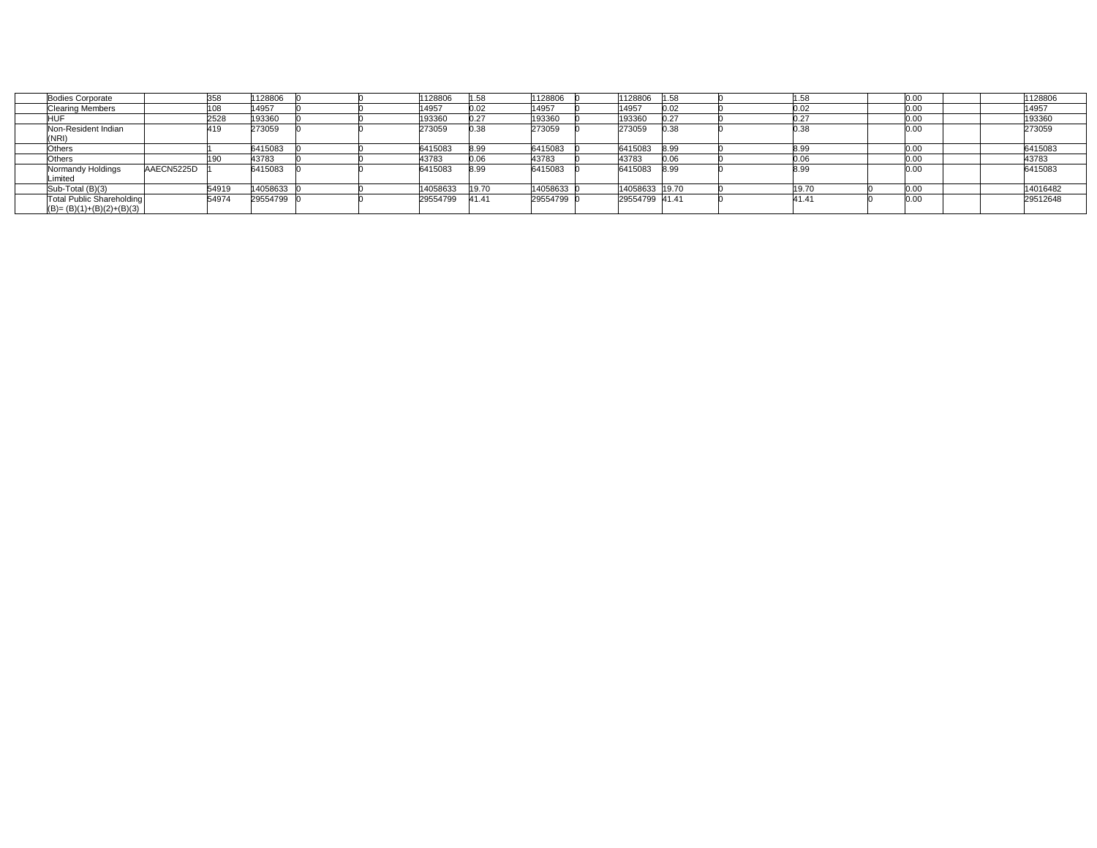| <b>Bodies Corporate</b>          |            | 358   | 1128806  |  | 1128806  | 1.58  | 1128806  | 1128806        | 1.58 |        | 0.00 | 128806   |
|----------------------------------|------------|-------|----------|--|----------|-------|----------|----------------|------|--------|------|----------|
| <b>Clearing Members</b>          |            | 08    | 14957    |  | 14957    | 0.02  | 14957    | 14957          | 0.02 | 0.02   | 0.00 | 14957    |
|                                  |            | 2528  | 193360   |  | 193360   | 0.27  | 193360   | 193360         | 0.27 | $\sim$ | 0.00 | 193360   |
| Non-Resident Indian              |            | 419   | 273059   |  | 273059   | 0.38  | 273059   | 273059         | 0.38 | 0.38   | 0.00 | 273059   |
| (NRI)                            |            |       |          |  |          |       |          |                |      |        |      |          |
| Others                           |            |       | 6415083  |  | 6415083  | 8.99  | 6415083  | 6415083        | 8.99 | 8.99   | 0.00 | 6415083  |
| Others                           |            |       | 43783    |  | 43783    | 0.06  | 43783    | 43783          | 0.06 |        | 0.00 | 43783    |
| Normandy Holdings                | AAECN5225D |       | 6415083  |  | 6415083  | 8.99  | 6415083  | 6415083        | 8.99 | 8.99   | 0.00 | 6415083  |
| .imited                          |            |       |          |  |          |       |          |                |      |        |      |          |
| Sub-Total (B)(3)                 |            | 54919 | 14058633 |  | 14058633 | 19.70 | 14058633 | 14058633 19.70 |      | 19.70  | 0.00 | 14016482 |
| <b>Total Public Shareholding</b> |            | 54974 | 29554799 |  | 29554799 | 41.41 | 29554799 | 29554799 41.41 |      | 41.41  | 0.00 | 29512648 |
| $(B) = (B)(1)+(B)(2)+(B)(3)$     |            |       |          |  |          |       |          |                |      |        |      |          |